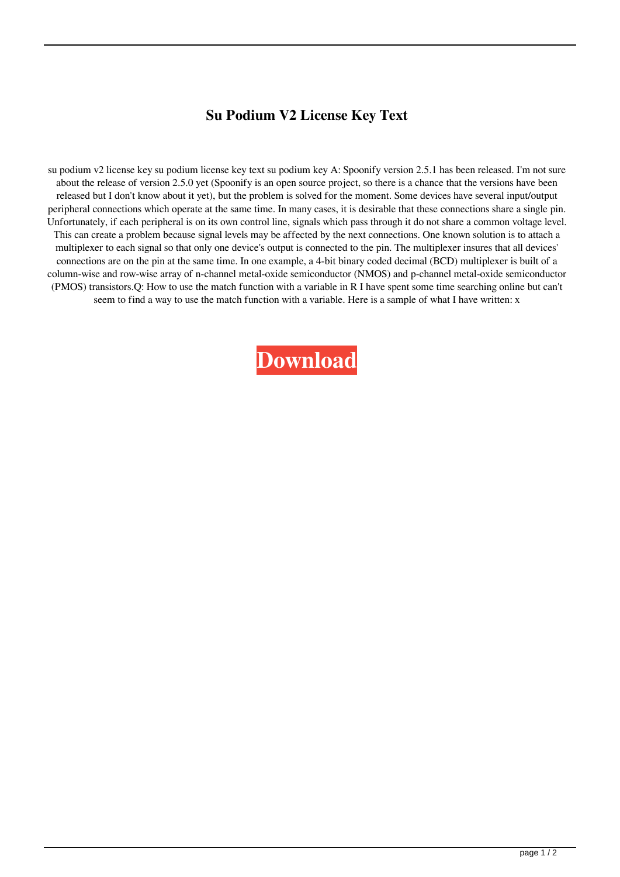## **Su Podium V2 License Key Text**

su podium v2 license key su podium license key text su podium key A: Spoonify version 2.5.1 has been released. I'm not sure about the release of version 2.5.0 yet (Spoonify is an open source project, so there is a chance that the versions have been released but I don't know about it yet), but the problem is solved for the moment. Some devices have several input/output peripheral connections which operate at the same time. In many cases, it is desirable that these connections share a single pin. Unfortunately, if each peripheral is on its own control line, signals which pass through it do not share a common voltage level. This can create a problem because signal levels may be affected by the next connections. One known solution is to attach a multiplexer to each signal so that only one device's output is connected to the pin. The multiplexer insures that all devices' connections are on the pin at the same time. In one example, a 4-bit binary coded decimal (BCD) multiplexer is built of a column-wise and row-wise array of n-channel metal-oxide semiconductor (NMOS) and p-channel metal-oxide semiconductor (PMOS) transistors.Q: How to use the match function with a variable in R I have spent some time searching online but can't seem to find a way to use the match function with a variable. Here is a sample of what I have written: x